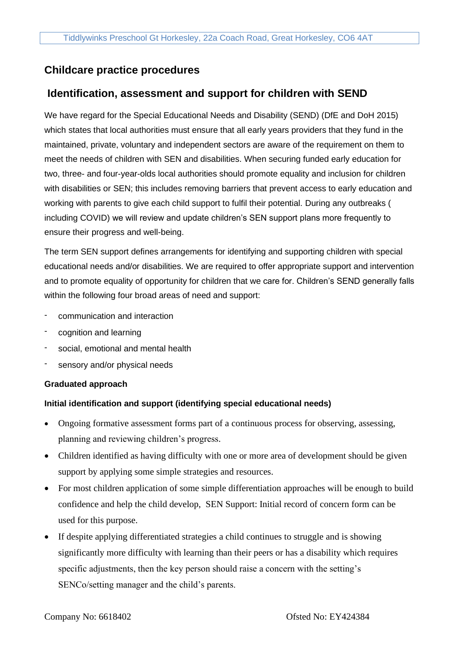# **Childcare practice procedures**

# **Identification, assessment and support for children with SEND**

We have regard for the Special Educational Needs and Disability (SEND) (DfE and DoH 2015) which states that local authorities must ensure that all early years providers that they fund in the maintained, private, voluntary and independent sectors are aware of the requirement on them to meet the needs of children with SEN and disabilities. When securing funded early education for two, three- and four-year-olds local authorities should promote equality and inclusion for children with disabilities or SEN; this includes removing barriers that prevent access to early education and working with parents to give each child support to fulfil their potential. During any outbreaks ( including COVID) we will review and update children's SEN support plans more frequently to ensure their progress and well-being.

The term SEN support defines arrangements for identifying and supporting children with special educational needs and/or disabilities. We are required to offer appropriate support and intervention and to promote equality of opportunity for children that we care for. Children's SEND generally falls within the following four broad areas of need and support:

- communication and interaction
- cognition and learning
- social, emotional and mental health
- sensory and/or physical needs

## **Graduated approach**

## **Initial identification and support (identifying special educational needs)**

- Ongoing formative assessment forms part of a continuous process for observing, assessing, planning and reviewing children's progress.
- Children identified as having difficulty with one or more area of development should be given support by applying some simple strategies and resources.
- For most children application of some simple differentiation approaches will be enough to build confidence and help the child develop, SEN Support: Initial record of concern form can be used for this purpose.
- If despite applying differentiated strategies a child continues to struggle and is showing significantly more difficulty with learning than their peers or has a disability which requires specific adjustments, then the key person should raise a concern with the setting's SENCo/setting manager and the child's parents.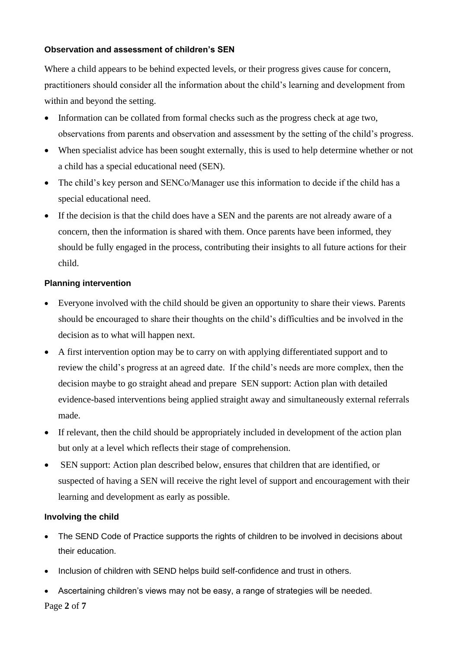## **Observation and assessment of children's SEN**

Where a child appears to be behind expected levels, or their progress gives cause for concern, practitioners should consider all the information about the child's learning and development from within and beyond the setting.

- Information can be collated from formal checks such as the progress check at age two, observations from parents and observation and assessment by the setting of the child's progress.
- When specialist advice has been sought externally, this is used to help determine whether or not a child has a special educational need (SEN).
- The child's key person and SENCo/Manager use this information to decide if the child has a special educational need.
- If the decision is that the child does have a SEN and the parents are not already aware of a concern, then the information is shared with them. Once parents have been informed, they should be fully engaged in the process, contributing their insights to all future actions for their child.

## **Planning intervention**

- Everyone involved with the child should be given an opportunity to share their views. Parents should be encouraged to share their thoughts on the child's difficulties and be involved in the decision as to what will happen next.
- A first intervention option may be to carry on with applying differentiated support and to review the child's progress at an agreed date. If the child's needs are more complex, then the decision maybe to go straight ahead and prepare SEN support: Action plan with detailed evidence-based interventions being applied straight away and simultaneously external referrals made.
- If relevant, then the child should be appropriately included in development of the action plan but only at a level which reflects their stage of comprehension.
- SEN support: Action plan described below, ensures that children that are identified, or suspected of having a SEN will receive the right level of support and encouragement with their learning and development as early as possible.

## **Involving the child**

- The SEND Code of Practice supports the rights of children to be involved in decisions about their education.
- Inclusion of children with SEND helps build self-confidence and trust in others.
- Ascertaining children's views may not be easy, a range of strategies will be needed.

Page **2** of **7**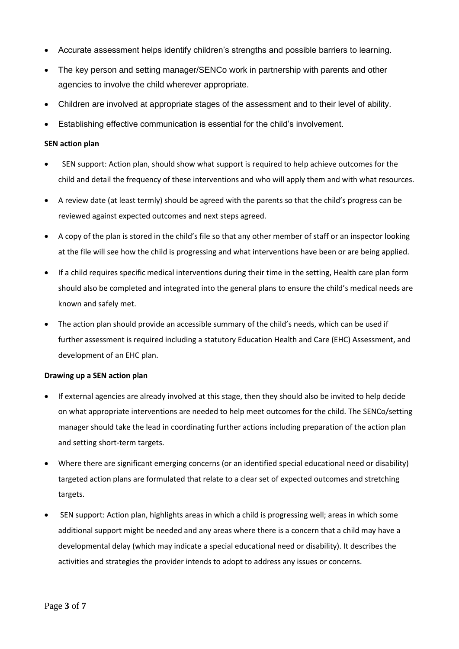- Accurate assessment helps identify children's strengths and possible barriers to learning.
- The key person and setting manager/SENCo work in partnership with parents and other agencies to involve the child wherever appropriate.
- Children are involved at appropriate stages of the assessment and to their level of ability.
- Establishing effective communication is essential for the child's involvement.

#### **SEN action plan**

- SEN support: Action plan, should show what support is required to help achieve outcomes for the child and detail the frequency of these interventions and who will apply them and with what resources.
- A review date (at least termly) should be agreed with the parents so that the child's progress can be reviewed against expected outcomes and next steps agreed.
- A copy of the plan is stored in the child's file so that any other member of staff or an inspector looking at the file will see how the child is progressing and what interventions have been or are being applied.
- If a child requires specific medical interventions during their time in the setting, Health care plan form should also be completed and integrated into the general plans to ensure the child's medical needs are known and safely met.
- The action plan should provide an accessible summary of the child's needs, which can be used if further assessment is required including a statutory Education Health and Care (EHC) Assessment, and development of an EHC plan.

#### **Drawing up a SEN action plan**

- If external agencies are already involved at this stage, then they should also be invited to help decide on what appropriate interventions are needed to help meet outcomes for the child. The SENCo/setting manager should take the lead in coordinating further actions including preparation of the action plan and setting short-term targets.
- Where there are significant emerging concerns (or an identified special educational need or disability) targeted action plans are formulated that relate to a clear set of expected outcomes and stretching targets.
- SEN support: Action plan, highlights areas in which a child is progressing well; areas in which some additional support might be needed and any areas where there is a concern that a child may have a developmental delay (which may indicate a special educational need or disability). It describes the activities and strategies the provider intends to adopt to address any issues or concerns.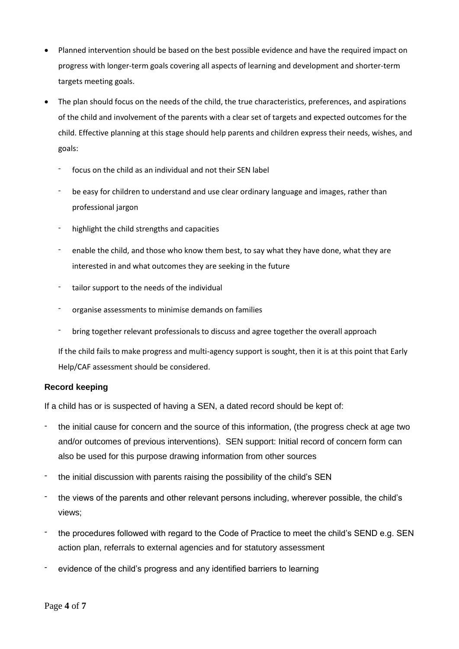- Planned intervention should be based on the best possible evidence and have the required impact on progress with longer-term goals covering all aspects of learning and development and shorter-term targets meeting goals.
- The plan should focus on the needs of the child, the true characteristics, preferences, and aspirations of the child and involvement of the parents with a clear set of targets and expected outcomes for the child. Effective planning at this stage should help parents and children express their needs, wishes, and goals:
	- focus on the child as an individual and not their SEN label
	- be easy for children to understand and use clear ordinary language and images, rather than professional jargon
	- highlight the child strengths and capacities
	- enable the child, and those who know them best, to say what they have done, what they are interested in and what outcomes they are seeking in the future
	- tailor support to the needs of the individual
	- organise assessments to minimise demands on families
	- bring together relevant professionals to discuss and agree together the overall approach

If the child fails to make progress and multi-agency support is sought, then it is at this point that Early Help/CAF assessment should be considered.

## **Record keeping**

If a child has or is suspected of having a SEN, a dated record should be kept of:

- the initial cause for concern and the source of this information, (the progress check at age two and/or outcomes of previous interventions). SEN support: Initial record of concern form can also be used for this purpose drawing information from other sources
- the initial discussion with parents raising the possibility of the child's SEN
- the views of the parents and other relevant persons including, wherever possible, the child's views;
- the procedures followed with regard to the Code of Practice to meet the child's SEND e.g. SEN action plan, referrals to external agencies and for statutory assessment
- evidence of the child's progress and any identified barriers to learning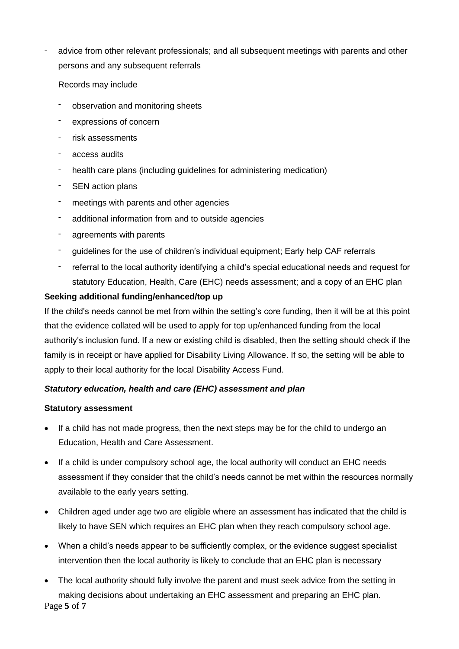advice from other relevant professionals; and all subsequent meetings with parents and other persons and any subsequent referrals

Records may include

- observation and monitoring sheets
- expressions of concern
- risk assessments
- access audits
- health care plans (including guidelines for administering medication)
- SEN action plans
- meetings with parents and other agencies
- additional information from and to outside agencies
- agreements with parents
- guidelines for the use of children's individual equipment; Early help CAF referrals
- referral to the local authority identifying a child's special educational needs and request for statutory Education, Health, Care (EHC) needs assessment; and a copy of an EHC plan

### **Seeking additional funding/enhanced/top up**

If the child's needs cannot be met from within the setting's core funding, then it will be at this point that the evidence collated will be used to apply for top up/enhanced funding from the local authority's inclusion fund. If a new or existing child is disabled, then the setting should check if the family is in receipt or have applied for Disability Living Allowance. If so, the setting will be able to apply to their local authority for the local Disability Access Fund.

## *Statutory education, health and care (EHC) assessment and plan*

### **Statutory assessment**

- If a child has not made progress, then the next steps may be for the child to undergo an Education, Health and Care Assessment.
- If a child is under compulsory school age, the local authority will conduct an EHC needs assessment if they consider that the child's needs cannot be met within the resources normally available to the early years setting.
- Children aged under age two are eligible where an assessment has indicated that the child is likely to have SEN which requires an EHC plan when they reach compulsory school age.
- When a child's needs appear to be sufficiently complex, or the evidence suggest specialist intervention then the local authority is likely to conclude that an EHC plan is necessary
- Page **5** of **7** • The local authority should fully involve the parent and must seek advice from the setting in making decisions about undertaking an EHC assessment and preparing an EHC plan.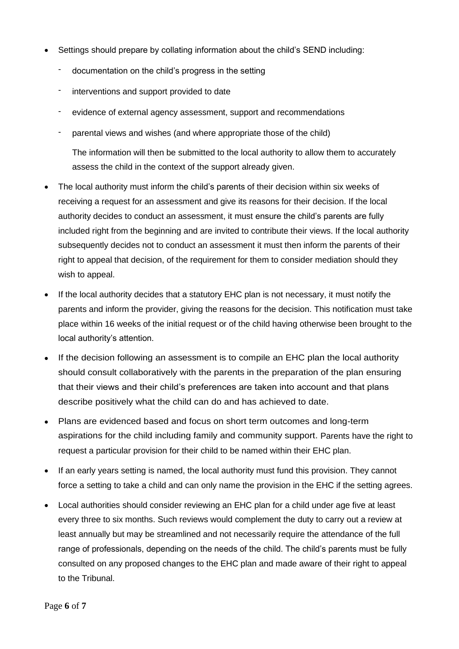- Settings should prepare by collating information about the child's SEND including:
	- documentation on the child's progress in the setting
	- interventions and support provided to date
	- evidence of external agency assessment, support and recommendations
	- parental views and wishes (and where appropriate those of the child)

The information will then be submitted to the local authority to allow them to accurately assess the child in the context of the support already given.

- The local authority must inform the child's parents of their decision within six weeks of receiving a request for an assessment and give its reasons for their decision. If the local authority decides to conduct an assessment, it must ensure the child's parents are fully included right from the beginning and are invited to contribute their views. If the local authority subsequently decides not to conduct an assessment it must then inform the parents of their right to appeal that decision, of the requirement for them to consider mediation should they wish to appeal.
- If the local authority decides that a statutory EHC plan is not necessary, it must notify the parents and inform the provider, giving the reasons for the decision. This notification must take place within 16 weeks of the initial request or of the child having otherwise been brought to the local authority's attention.
- If the decision following an assessment is to compile an EHC plan the local authority should consult collaboratively with the parents in the preparation of the plan ensuring that their views and their child's preferences are taken into account and that plans describe positively what the child can do and has achieved to date.
- Plans are evidenced based and focus on short term outcomes and long-term aspirations for the child including family and community support. Parents have the right to request a particular provision for their child to be named within their EHC plan.
- If an early years setting is named, the local authority must fund this provision. They cannot force a setting to take a child and can only name the provision in the EHC if the setting agrees.
- Local authorities should consider reviewing an EHC plan for a child under age five at least every three to six months. Such reviews would complement the duty to carry out a review at least annually but may be streamlined and not necessarily require the attendance of the full range of professionals, depending on the needs of the child. The child's parents must be fully consulted on any proposed changes to the EHC plan and made aware of their right to appeal to the Tribunal.